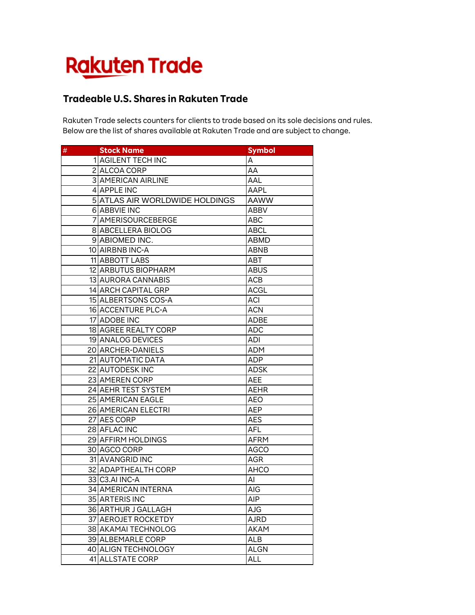## **Rakuten Trade**

## **Tradeable U.S. Shares in Rakuten Trade**

Rakuten Trade selects counters for clients to trade based on its sole decisions and rules. Below are the list of shares available at Rakuten Trade and are subject to change.

| $\#$ | <b>Stock Name</b>              | <b>Symbol</b> |
|------|--------------------------------|---------------|
|      | 1 AGILENT TECH INC             | А             |
|      | 2 ALCOA CORP                   | AA            |
|      | <b>3 AMERICAN AIRLINE</b>      | AAL           |
|      | 4 APPLE INC                    | AAPL          |
|      | 5 ATLAS AIR WORLDWIDE HOLDINGS | AAWW          |
|      | 6 ABBVIE INC                   | <b>ABBV</b>   |
|      | 7 AMERISOURCEBERGE             | ABC           |
|      | 8 ABCELLERA BIOLOG             | ABCL          |
|      | 9 ABIOMED INC.                 | <b>ABMD</b>   |
|      | 10 AIRBNB INC-A                | ABNB          |
|      | 11 ABBOTT LABS                 | ABT           |
|      | 12 ARBUTUS BIOPHARM            | ABUS          |
|      | 13 AURORA CANNABIS             | ACB           |
|      | 14 ARCH CAPITAL GRP            | <b>ACGL</b>   |
|      | 15 ALBERTSONS COS-A            | ACI           |
|      | 16 ACCENTURE PLC-A             | <b>ACN</b>    |
|      | 17 ADOBE INC                   | <b>ADBE</b>   |
|      | 18 AGREE REALTY CORP           | <b>ADC</b>    |
|      | 19 ANALOG DEVICES              | ADI           |
|      | 20 ARCHER-DANIELS              | ADM           |
|      | 21 AUTOMATIC DATA              | ADP           |
|      | 22 AUTODESK INC                | <b>ADSK</b>   |
|      | 23 AMEREN CORP                 | AEE           |
|      | 24 AEHR TEST SYSTEM            | AEHR          |
|      | 25 AMERICAN EAGLE              | <b>AEO</b>    |
|      | 26 AMERICAN ELECTRI            | AEP           |
|      | 27 AES CORP                    | AES           |
|      | 28 AFLAC INC                   | <b>AFL</b>    |
|      | 29 AFFIRM HOLDINGS             | AFRM          |
|      | 30 AGCO CORP                   | <b>AGCO</b>   |
|      | 31 AVANGRID INC                | <b>AGR</b>    |
|      | 32 ADAPTHEALTH CORP            | AHCO          |
|      | 33 C3.AI INC-A                 | Al            |
|      | 34 AMERICAN INTERNA            | AIG           |
|      | 35 ARTERIS INC                 | AIP           |
|      | 36 ARTHUR J GALLAGH            | <b>AJG</b>    |
|      | 37 AEROJET ROCKETDY            | <b>AJRD</b>   |
|      | 38 AKAMAI TECHNOLOG            | <b>AKAM</b>   |
|      | 39 ALBEMARLE CORP              | <b>ALB</b>    |
|      | 40 ALIGN TECHNOLOGY            | <b>ALGN</b>   |
|      | 41 ALLSTATE CORP               | ALL           |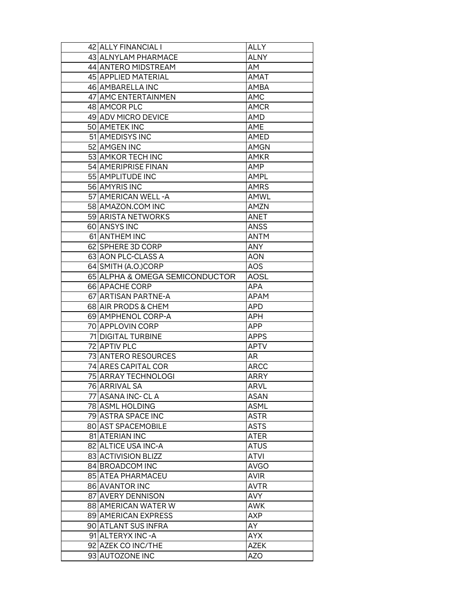| 42 ALLY FINANCIAL I            | ALLY        |
|--------------------------------|-------------|
| 43 ALNYLAM PHARMACE            | ALNY        |
| 44 ANTERO MIDSTREAM            | AM          |
| 45 APPLIED MATERIAL            | AMAT        |
| 46 AMBARELLA INC               | AMBA        |
| 47 AMC ENTERTAINMEN            | <b>AMC</b>  |
| 48 AMCOR PLC                   | <b>AMCR</b> |
| 49 ADV MICRO DEVICE            | AMD         |
| 50 AMETEK INC                  | AME         |
| 51 AMEDISYS INC                | AMED        |
| 52 AMGEN INC                   | <b>AMGN</b> |
| 53 AMKOR TECH INC              | <b>AMKR</b> |
| 54 AMERIPRISE FINAN            | AMP         |
| 55 AMPLITUDE INC               | AMPL        |
| 56 AMYRIS INC                  | <b>AMRS</b> |
| 57 AMERICAN WELL - A           | AMWL        |
| 58 AMAZON.COM INC              | <b>AMZN</b> |
| 59 ARISTA NETWORKS             | ANET        |
| 60 ANSYS INC                   | <b>ANSS</b> |
| 61 ANTHEM INC                  | ANTM        |
| 62 SPHERE 3D CORP              | <b>ANY</b>  |
| 63 AON PLC-CLASS A             | AON         |
| 64 SMITH (A.O.)CORP            | AOS         |
| 65 ALPHA & OMEGA SEMICONDUCTOR | <b>AOSL</b> |
| 66 APACHE CORP                 | APA         |
| 67 ARTISAN PARTNE-A            | <b>APAM</b> |
| 68 AIR PRODS & CHEM            | <b>APD</b>  |
| 69 AMPHENOL CORP-A             | APH         |
| 70 APPLOVIN CORP               | APP.        |
| 71 DIGITAL TURBINE             | <b>APPS</b> |
| 72 APTIV PLC                   | <b>APTV</b> |
| 73 ANTERO RESOURCES            | AR          |
| 74 ARES CAPITAL COR            | <b>ARCC</b> |
| 75 ARRAY TECHNOLOGI            | <b>ARRY</b> |
| 76 ARRIVAL SA                  | <b>ARVL</b> |
| 77   ASANA INC- CL A           | <b>ASAN</b> |
| 78 ASML HOLDING                | ASML        |
| 79 ASTRA SPACE INC             | <b>ASTR</b> |
| 80 AST SPACEMOBILE             | <b>ASTS</b> |
| 81 ATERIAN INC                 | ATER        |
| 82 ALTICE USA INC-A            | <b>ATUS</b> |
| 83 ACTIVISION BLIZZ            | ATVI        |
| 84 BROADCOM INC                | <b>AVGO</b> |
| 85 ATEA PHARMACEU              | <b>AVIR</b> |
| 86 AVANTOR INC                 | <b>AVTR</b> |
| 87 AVERY DENNISON              | AVY.        |
| 88 AMERICAN WATER W            | <b>AWK</b>  |
| 89 AMERICAN EXPRESS            | <b>AXP</b>  |
| 90 ATLANT SUS INFRA            | AY          |
| 91 ALTERYX INC-A               | <b>AYX</b>  |
| 92 AZEK CO INC/THE             | <b>AZEK</b> |
| 93 AUTOZONE INC                | AZO         |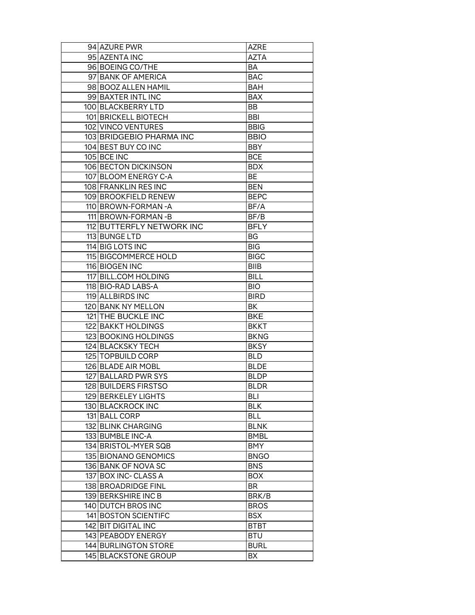| 94 AZURE PWR              | AZRE        |
|---------------------------|-------------|
| 95 AZENTA INC             | AZTA        |
| 96 BOEING CO/THE          | BA          |
| 97 BANK OF AMERICA        | <b>BAC</b>  |
| 98 BOOZ ALLEN HAMIL       | <b>BAH</b>  |
| 99 BAXTER INTL INC        | <b>BAX</b>  |
| 100 BLACKBERRY LTD        | BB          |
| 101 BRICKELL BIOTECH      | BBI         |
| 102 VINCO VENTURES        | <b>BBIG</b> |
| 103 BRIDGEBIO PHARMA INC  | <b>BBIO</b> |
| 104 BEST BUY CO INC       | <b>BBY</b>  |
| 105 BCE INC               | <b>BCE</b>  |
| 106 BECTON DICKINSON      | <b>BDX</b>  |
| 107 BLOOM ENERGY C-A      | ВE          |
| 108 FRANKLIN RES INC      | <b>BEN</b>  |
| 109 BROOKFIELD RENEW      | <b>BEPC</b> |
| 110 BROWN-FORMAN - A      | BF/A        |
| 111 BROWN-FORMAN-B        | BF/B        |
| 112 BUTTERFLY NETWORK INC | <b>BFLY</b> |
| 113 BUNGE LTD             | BG          |
| 114 BIG LOTS INC          | <b>BIG</b>  |
| 115 BIGCOMMERCE HOLD      | <b>BIGC</b> |
| 116 BIOGEN INC            | <b>BIIB</b> |
| 117 BILL.COM HOLDING      | <b>BILL</b> |
| 118 BIO-RAD LABS-A        | <b>BIO</b>  |
| 119 ALLBIRDS INC          | <b>BIRD</b> |
| 120 BANK NY MELLON        | ВK          |
| 121 THE BUCKLE INC        | <b>BKE</b>  |
| 122 BAKKT HOLDINGS        | <b>BKKT</b> |
| 123 BOOKING HOLDINGS      | <b>BKNG</b> |
| 124 BLACKSKY TECH         | <b>BKSY</b> |
| 125 TOPBUILD CORP         | <b>BLD</b>  |
| 126 BLADE AIR MOBL        | <b>BLDE</b> |
| 127 BALLARD PWR SYS       | <b>BLDP</b> |
| 128 BUILDERS FIRSTSO      | <b>BLDR</b> |
| 129 BERKELEY LIGHTS       | BLI         |
| 130 BLACKROCK INC         | <b>BLK</b>  |
| 131 BALL CORP             | BLL         |
| 132 BLINK CHARGING        | <b>BLNK</b> |
| 133 BUMBLE INC-A          | <b>BMBL</b> |
| 134 BRISTOL-MYER SQB      | <b>BMY</b>  |
| 135 BIONANO GENOMICS      | <b>BNGO</b> |
| 136 BANK OF NOVA SC       | <b>BNS</b>  |
| 137 BOX INC- CLASS A      | <b>BOX</b>  |
| 138 BROADRIDGE FINL       | BR          |
| 139 BERKSHIRE INC B       | BRK/B       |
| 140 DUTCH BROS INC        | <b>BROS</b> |
| 141 BOSTON SCIENTIFC      | <b>BSX</b>  |
| 142 BIT DIGITAL INC       | <b>BTBT</b> |
| 143 PEABODY ENERGY        | <b>BTU</b>  |
| 144 BURLINGTON STORE      | <b>BURL</b> |
| 145 BLACKSTONE GROUP      | BX          |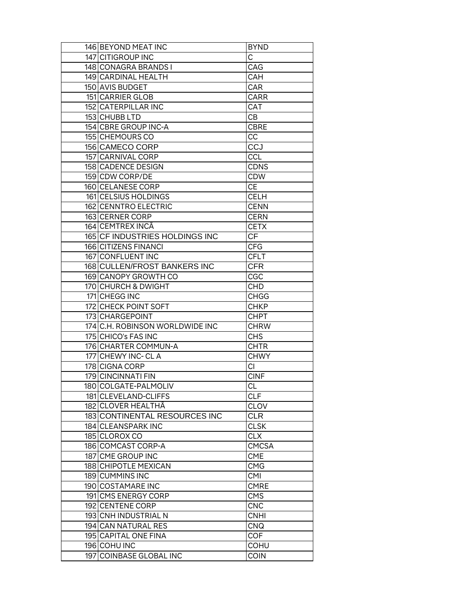| 146 BEYOND MEAT INC             | <b>BYND</b>  |
|---------------------------------|--------------|
| 147 CITIGROUP INC               | C            |
| 148 CONAGRA BRANDS I            | CAG          |
| 149 CARDINAL HEALTH             | <b>CAH</b>   |
| 150 AVIS BUDGET                 | <b>CAR</b>   |
| 151 CARRIER GLOB                | <b>CARR</b>  |
| 152 CATERPILLAR INC             | <b>CAT</b>   |
| 153 CHUBB LTD                   | CВ           |
| 154 CBRE GROUP INC-A            | <b>CBRE</b>  |
| 155 CHEMOURS CO                 | CC           |
| 156 CAMECO CORP                 | CCJ          |
| 157 CARNIVAL CORP               | <b>CCL</b>   |
| 158 CADENCE DESIGN              | <b>CDNS</b>  |
| 159 CDW CORP/DE                 | <b>CDW</b>   |
| 160 CELANESE CORP               | <b>CE</b>    |
| 161 CELSIUS HOLDINGS            | <b>CELH</b>  |
| 162 CENNTRO ELECTRIC            | <b>CENN</b>  |
| 163 CERNER CORP                 | <b>CERN</b>  |
| 164 CEMTREX INCÂ                | <b>CETX</b>  |
| 165 CF INDUSTRIES HOLDINGS INC  | CF           |
| 166 CITIZENS FINANCI            | <b>CFG</b>   |
| 167 CONFLUENT INC               | <b>CFLT</b>  |
| 168 CULLEN/FROST BANKERS INC    | <b>CFR</b>   |
| 169 CANOPY GROWTH CO            | CGC          |
| 170 CHURCH & DWIGHT             | <b>CHD</b>   |
| 171 CHEGG INC                   | <b>CHGG</b>  |
| 172 CHECK POINT SOFT            | <b>CHKP</b>  |
| 173 CHARGEPOINT                 | <b>CHPT</b>  |
| 174 C.H. ROBINSON WORLDWIDE INC | <b>CHRW</b>  |
| 175 CHICO's FAS INC             | <b>CHS</b>   |
| 176 CHARTER COMMUN-A            | CHTR         |
| 177 CHEWY INC- CL A             | <b>CHWY</b>  |
| 178 CIGNA CORP                  | CI           |
| 179 CINCINNATI FIN              | <b>CINF</b>  |
| 180 COLGATE-PALMOLIV            | <b>CL</b>    |
| 181 CLEVELAND-CLIFFS            | <b>CLF</b>   |
| 182 CLOVER HEALTHÂ              | <b>CLOV</b>  |
| 183 CONTINENTAL RESOURCES INC   | <b>CLR</b>   |
| 184 CLEANSPARK INC              | <b>CLSK</b>  |
| 185 CLOROX CO                   | <b>CLX</b>   |
| 186 COMCAST CORP-A              | <b>CMCSA</b> |
| 187 CME GROUP INC               | <b>CME</b>   |
| 188 CHIPOTLE MEXICAN            | <b>CMG</b>   |
| 189 CUMMINS INC                 | <b>CMI</b>   |
| 190 COSTAMARE INC               | <b>CMRE</b>  |
| 191 CMS ENERGY CORP             | <b>CMS</b>   |
| 192 CENTENE CORP                | <b>CNC</b>   |
| 193 CNH INDUSTRIAL N            | <b>CNHI</b>  |
| 194 CAN NATURAL RES             | CNQ          |
| 195 CAPITAL ONE FINA            | <b>COF</b>   |
| 196 COHU INC                    | <b>COHU</b>  |
| 197 COINBASE GLOBAL INC         | <b>COIN</b>  |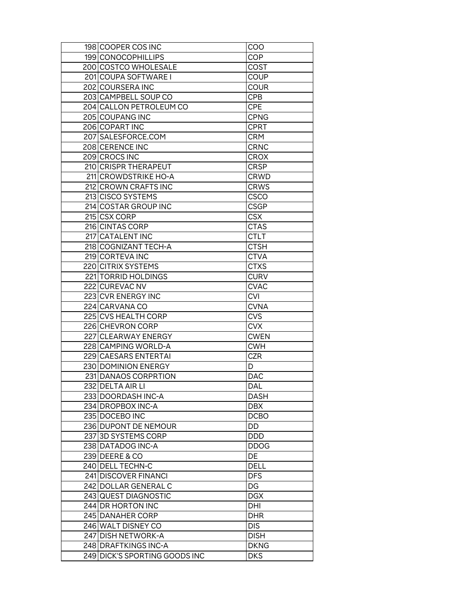|     | 198 ICOOPER COS INC              | COO         |
|-----|----------------------------------|-------------|
|     | 199 CONOCOPHILLIPS               | COP         |
|     | 200 COSTCO WHOLESALE             | COST        |
|     | 201 COUPA SOFTWARE I             | COUP        |
|     | 202 COURSERA INC                 | <b>COUR</b> |
|     | 203 CAMPBELL SOUP CO             | <b>CPB</b>  |
|     | 204 CALLON PETROLEUM CO          | <b>CPE</b>  |
|     | 205 COUPANG INC                  | <b>CPNG</b> |
|     | 206 COPART INC                   | <b>CPRT</b> |
|     | 207 SALESFORCE.COM               | <b>CRM</b>  |
|     | 208 CERENCE INC                  | <b>CRNC</b> |
|     | 209 CROCS INC                    | <b>CROX</b> |
|     | 210 CRISPR THERAPEUT             | CRSP        |
|     | 211 CROWDSTRIKE HO-A             | <b>CRWD</b> |
|     | 212 CROWN CRAFTS INC             | <b>CRWS</b> |
|     | 213 CISCO SYSTEMS                | <b>CSCO</b> |
|     | 214 COSTAR GROUP INC             | <b>CSGP</b> |
|     | 215 CSX CORP                     | <b>CSX</b>  |
|     | 216 CINTAS CORP                  | <b>CTAS</b> |
|     | 217 CATALENT INC                 | <b>CTLT</b> |
|     | 218 COGNIZANT TECH-A             | <b>CTSH</b> |
|     |                                  |             |
|     | 219 CORTEVA INC                  | <b>CTVA</b> |
|     | 220 CITRIX SYSTEMS               | <b>CTXS</b> |
|     | 221 TORRID HOLDINGS              | <b>CURV</b> |
|     | 222 CUREVAC NV                   | CVAC        |
|     | 223 CVR ENERGY INC               | <b>CVI</b>  |
|     | 224 CARVANA CO                   | <b>CVNA</b> |
|     | 225 CVS HEALTH CORP              | <b>CVS</b>  |
|     | 226 CHEVRON CORP                 | <b>CVX</b>  |
|     | 227 CLEARWAY ENERGY              | <b>CWEN</b> |
|     | 228 CAMPING WORLD-A              | <b>CWH</b>  |
|     | 229 CAESARS ENTERTAI             | CZR         |
|     | 230 DOMINION ENERGY              | D           |
|     | 231 DANAOS CORPRTION             | DAC         |
|     | 232 DELTA AIR LI                 | <b>DAL</b>  |
|     | 233 DOORDASH INC-A               | DASH        |
|     | 234 DROPBOX INC-A                | <b>DBX</b>  |
|     | 235 DOCEBO INC                   | <b>DCBO</b> |
|     | 236 DUPONT DE NEMOUR             | DD          |
|     | 237 3D SYSTEMS CORP              | <b>DDD</b>  |
|     | 238 DATADOG INC-A                | <b>DDOG</b> |
|     | 239 DEERE & CO                   | <b>DE</b>   |
|     | 240 DELL TECHN-C                 | <b>DELL</b> |
|     | 241 DISCOVER FINANCI             | <b>DFS</b>  |
|     | 242 DOLLAR GENERAL C             | DG          |
|     | 243 QUEST DIAGNOSTIC             | <b>DGX</b>  |
|     | 244 DR HORTON INC                | DHI         |
|     | 245 DANAHER CORP                 | <b>DHR</b>  |
|     | 246 WALT DISNEY CO               | <b>DIS</b>  |
|     | 247 DISH NETWORK-A               | <b>DISH</b> |
|     | 248 DRAFTKINGS INC-A             | <b>DKNG</b> |
| 249 | <b>DICK'S SPORTING GOODS INC</b> | <b>DKS</b>  |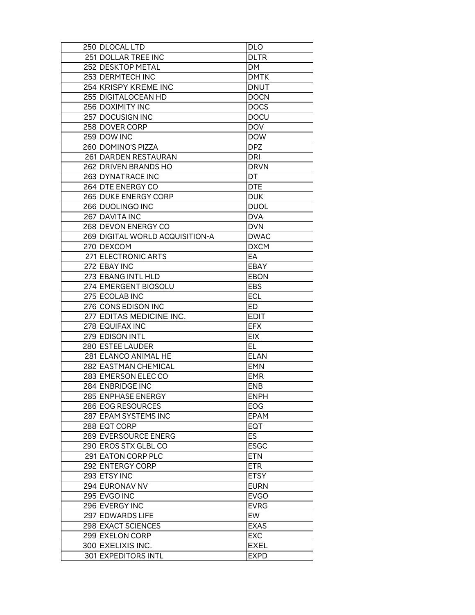| 250 DLOCAL LTD                  | <b>DLO</b>  |
|---------------------------------|-------------|
| 251 DOLLAR TREE INC             | <b>DLTR</b> |
| 252 DESKTOP METAL               | DM.         |
| 253 DERMTECH INC                | <b>DMTK</b> |
| 254 KRISPY KREME INC            | <b>DNUT</b> |
| 255 DIGITALOCEAN HD             | <b>DOCN</b> |
| 256 DOXIMITY INC                | <b>DOCS</b> |
| 257 DOCUSIGN INC                | <b>DOCU</b> |
| 258 DOVER CORP                  | <b>DOV</b>  |
| 259 DOW INC                     | <b>DOW</b>  |
| 260 DOMINO'S PIZZA              | <b>DPZ</b>  |
| 261 DARDEN RESTAURAN            | <b>DRI</b>  |
| 262 DRIVEN BRANDS HO            | <b>DRVN</b> |
| 263 DYNATRACE INC               | DT          |
| 264 DTE ENERGY CO               | <b>DTE</b>  |
| 265 DUKE ENERGY CORP            | <b>DUK</b>  |
| 266 DUOLINGO INC                | <b>DUOL</b> |
| 267 DAVITA INC                  | <b>DVA</b>  |
| 268 DEVON ENERGY CO             | <b>DVN</b>  |
| 269 DIGITAL WORLD ACQUISITION-A | <b>DWAC</b> |
| 270 DEXCOM                      | <b>DXCM</b> |
| 271 ELECTRONIC ARTS             | EA          |
| 272 EBAY INC                    | EBAY        |
| 273 EBANG INTL HLD              | <b>EBON</b> |
| 274 EMERGENT BIOSOLU            | <b>EBS</b>  |
| 275 ECOLAB INC                  | <b>ECL</b>  |
| 276 CONS EDISON INC             | ED.         |
| 277 EDITAS MEDICINE INC.        | <b>EDIT</b> |
| 278 EQUIFAX INC                 | <b>EFX</b>  |
| 279 EDISON INTL                 | <b>EIX</b>  |
| 280 ESTEE LAUDER                | EL.         |
| 281 ELANCO ANIMAL HE            | <b>ELAN</b> |
| 282 EASTMAN CHEMICAL            | <b>EMN</b>  |
| 283 EMERSON ELEC CO             | <b>EMR</b>  |
| 284 ENBRIDGE INC                | <b>ENB</b>  |
| 285 ENPHASE ENERGY              | <b>ENPH</b> |
| 286 EOG RESOURCES               | EOG         |
| 287 EPAM SYSTEMS INC            | EPAM        |
| 288 EQT CORP                    | EQT         |
| 289 EVERSOURCE ENERG            | <b>ES</b>   |
| 290 EROS STX GLBL CO            | <b>ESGC</b> |
| 291 EATON CORP PLC              | <b>ETN</b>  |
| 292 ENTERGY CORP                | <b>ETR</b>  |
| 293 ETSY INC                    | <b>ETSY</b> |
| 294 EURONAV NV                  | <b>EURN</b> |
| 295 EVGO INC                    | <b>EVGO</b> |
| 296 EVERGY INC                  | <b>EVRG</b> |
| 297 EDWARDS LIFE                | EW          |
| 298 EXACT SCIENCES              | <b>EXAS</b> |
| 299 EXELON CORP                 | <b>EXC</b>  |
| 300 EXELIXIS INC.               | <b>EXEL</b> |
| 301 EXPEDITORS INTL             | <b>EXPD</b> |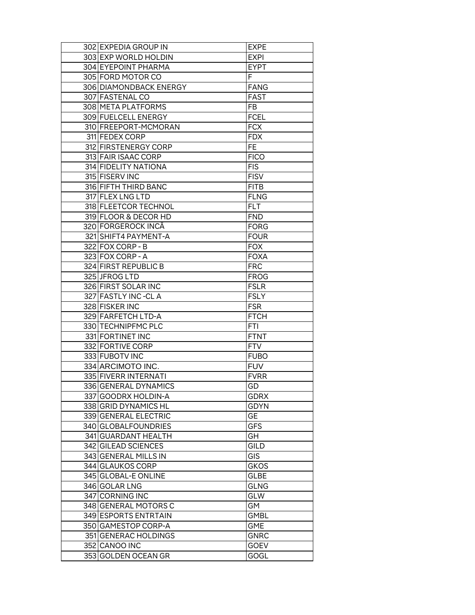| 302 EXPEDIA GROUP IN   | <b>EXPE</b> |
|------------------------|-------------|
| 303 EXP WORLD HOLDIN   | <b>EXPI</b> |
| 304 EYEPOINT PHARMA    | <b>EYPT</b> |
| 305 FORD MOTOR CO      | F           |
| 306 DIAMONDBACK ENERGY | <b>FANG</b> |
| 307 FASTENAL CO        | <b>FAST</b> |
| 308 META PLATFORMS     | FB          |
| 309 FUELCELL ENERGY    | <b>FCEL</b> |
| 310 FREEPORT-MCMORAN   | <b>FCX</b>  |
| 311 FEDEX CORP         | <b>FDX</b>  |
| 312 FIRSTENERGY CORP   | FE          |
| 313 FAIR ISAAC CORP    | <b>FICO</b> |
| 314 FIDELITY NATIONA   | <b>FIS</b>  |
| 315 FISERV INC         | <b>FISV</b> |
| 316 FIFTH THIRD BANC   | <b>FITB</b> |
| 317 FLEX LNG LTD       | <b>FLNG</b> |
| 318 FLEETCOR TECHNOL   | FLT         |
| 319 FLOOR & DECOR HD   | <b>FND</b>  |
| 320 FORGEROCK INCÂ     | <b>FORG</b> |
| 321 SHIFT4 PAYMENT-A   | <b>FOUR</b> |
| 322 FOX CORP - B       | <b>FOX</b>  |
| 323 FOX CORP - A       | <b>FOXA</b> |
| 324 FIRST REPUBLIC B   | <b>FRC</b>  |
| 325 JFROG LTD          | <b>FROG</b> |
| 326 FIRST SOLAR INC    | <b>FSLR</b> |
| 327 FASTLY INC-CLA     | <b>FSLY</b> |
| 328 FISKER INC         | <b>FSR</b>  |
| 329 FARFETCH LTD-A     | <b>FTCH</b> |
| 330 TECHNIPFMC PLC     | <b>FTI</b>  |
| 331 FORTINET INC       | <b>FTNT</b> |
| 332 FORTIVE CORP       | <b>FTV</b>  |
| 333 FUBOTV INC         | <b>FUBO</b> |
| 334 ARCIMOTO INC.      | <b>FUV</b>  |
| 335 FIVERR INTERNATI   | <b>FVRR</b> |
| 336 GENERAL DYNAMICS   | GD          |
| 337 GOODRX HOLDIN-A    | <b>GDRX</b> |
| 338 GRID DYNAMICS HL   | <b>GDYN</b> |
| 339 GENERAL ELECTRIC   | GE          |
| 340 GLOBALFOUNDRIES    | <b>GFS</b>  |
| 341 GUARDANT HEALTH    | GH          |
| 342 GILEAD SCIENCES    | <b>GILD</b> |
| 343 GENERAL MILLS IN   | <b>GIS</b>  |
| 344 GLAUKOS CORP       | <b>GKOS</b> |
| 345 GLOBAL-E ONLINE    | <b>GLBE</b> |
| 346 GOLAR LNG          | <b>GLNG</b> |
| 347 CORNING INC        | GLW         |
| 348 GENERAL MOTORS C   | GM          |
| 349 ESPORTS ENTRTAIN   | <b>GMBL</b> |
| 350 GAMESTOP CORP-A    | <b>GME</b>  |
| 351 GENERAC HOLDINGS   | <b>GNRC</b> |
| 352 CANOO INC          | <b>GOEV</b> |
| 353 GOLDEN OCEAN GR    | GOGL        |
|                        |             |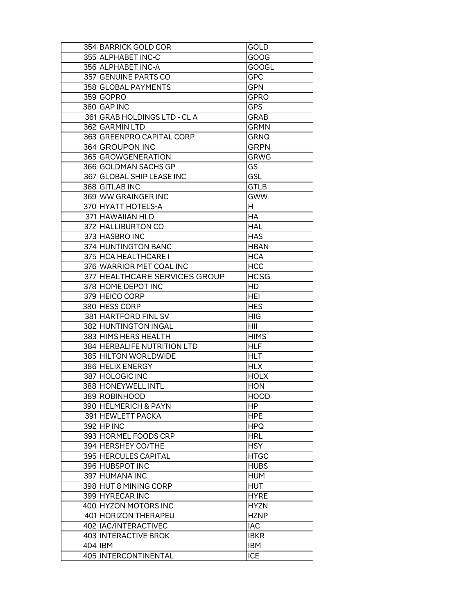| 354 BARRICK GOLD COR            | GOLD                     |
|---------------------------------|--------------------------|
| 355 ALPHABET INC-C              | GOOG                     |
| 356 ALPHABET INC-A              | <b>GOOGL</b>             |
| 357 GENUINE PARTS CO            | GPC                      |
| 358 GLOBAL PAYMENTS             | <b>GPN</b>               |
| 359 GOPRO                       | <b>GPRO</b>              |
| 360 GAP INC                     | <b>GPS</b>               |
| 361 GRAB HOLDINGS LTD - CLA     | <b>GRAB</b>              |
| 362 GARMIN LTD                  | <b>GRMN</b>              |
| 363 GREENPRO CAPITAL CORP       | <b>GRNQ</b>              |
| 364 GROUPON INC                 | GRPN                     |
| 365 GROWGENERATION              | <b>GRWG</b>              |
| 366 GOLDMAN SACHS GP            | GS                       |
| 367 GLOBAL SHIP LEASE INC       | GSL                      |
| 368 GITLAB INC                  | <b>GTLB</b>              |
| 369 WW GRAINGER INC             | <b>GWW</b>               |
| 370 HYATT HOTELS-A              | H                        |
| 371 HAWAIIAN HLD                | НA                       |
| 372 HALLIBURTON CO              | <b>HAL</b>               |
| 373 HASBRO INC                  | <b>HAS</b>               |
| 374 HUNTINGTON BANC             | <b>HBAN</b>              |
| 375 HCA HEALTHCARE I            | <b>HCA</b>               |
| 376 WARRIOR MET COAL INC        | HCC                      |
| 377 HEALTHCARE SERVICES GROUP   | HCSG                     |
| 378 HOME DEPOT INC              | HD                       |
| 379 HEICO CORP                  | HEI                      |
| 380 HESS CORP                   | <b>HES</b>               |
| 381 HARTFORD FINL SV            | HIG                      |
| 382 HUNTINGTON INGAL            | НII                      |
| 383 HIMS HERS HEALTH            | <b>HIMS</b>              |
| 384 HERBALIFE NUTRITION LTD     | <b>HLF</b>               |
| 385 HILTON WORLDWIDE            | HLT                      |
| 386 HELIX ENERGY                | <b>HLX</b>               |
| 387 HOLOGIC INC                 | <b>HOLX</b>              |
| 388 HONEYWELL INTL              | <b>HON</b>               |
| 389 ROBINHOOD                   | <b>HOOD</b>              |
| 390 HELMERICH & PAYN            | HP.                      |
| 391 HEWLETT PACKA               | <b>HPE</b>               |
| 392 HP INC                      | <b>HPQ</b>               |
| 393 HORMEL FOODS CRP            | HRL                      |
| 394 HERSHEY CO/THE              | <b>HSY</b>               |
| 395 HERCULES CAPITAL            | <b>HTGC</b>              |
| 396 HUBSPOT INC                 | <b>HUBS</b>              |
| 397 HUMANA INC                  | HUM                      |
| 398 HUT 8 MINING CORP           | <b>HUT</b>               |
| 399 HYRECAR INC                 | <b>HYRE</b>              |
|                                 |                          |
|                                 |                          |
| 400 HYZON MOTORS INC            | HYZN                     |
| 401 HORIZON THERAPEU            | <b>HZNP</b>              |
| 402 IAC/INTERACTIVEC            | <b>IAC</b>               |
| 403 INTERACTIVE BROK            | <b>IBKR</b>              |
| 404 IBM<br>405 INTERCONTINENTAL | <b>IBM</b><br><b>ICE</b> |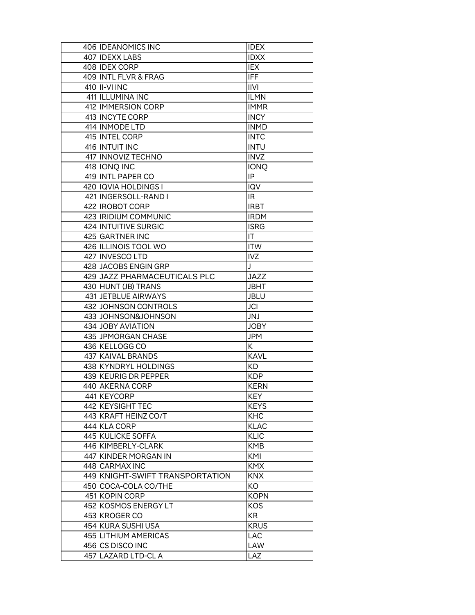| <b>IDXX</b><br>407 IDEXX LABS<br>408 IDEX CORP<br>IEX<br>409 INTL FLVR & FRAG<br><b>IFF</b><br>410 II-VI INC<br><b>IIVI</b><br>411 ILLUMINA INC<br><b>ILMN</b><br>412 IMMERSION CORP<br><b>IMMR</b><br>413 INCYTE CORP<br><b>INCY</b><br>414 INMODE LTD<br><b>INMD</b><br>415 INTEL CORP<br><b>INTC</b><br>416 INTUIT INC<br><b>INTU</b><br>417 INNOVIZ TECHNO<br><b>INVZ</b><br>418 IONQ INC<br><b>IONQ</b><br>419 INTL PAPER CO<br>IP<br>420 IQVIA HOLDINGS I<br>IQV<br>421 INGERSOLL-RAND I<br>IR.<br>422 IROBOT CORP<br><b>IRBT</b><br>423 IRIDIUM COMMUNIC<br><b>IRDM</b><br>424 INTUITIVE SURGIC<br><b>ISRG</b><br>425 GARTNER INC<br>IT<br>426 ILLINOIS TOOL WO<br><b>ITW</b><br>427 INVESCO LTD<br><b>IVZ</b><br>J<br>428 JACOBS ENGIN GRP<br><b>JAZZ</b><br>429 JAZZ PHARMACEUTICALS PLC<br>430 HUNT (JB) TRANS<br>JBHT<br>431 JETBLUE AIRWAYS<br><b>JBLU</b><br>432 JOHNSON CONTROLS<br><b>JCI</b><br>JNJ<br>433 JOHNSON&JOHNSON<br>434 JOBY AVIATION<br><b>JOBY</b><br>435 JPMORGAN CHASE<br>JPM<br>K<br>436 KELLOGG CO<br>437 KAIVAL BRANDS<br><b>KAVL</b><br>438 KYNDRYL HOLDINGS<br>KD.<br>439 KEURIG DR PEPPER<br><b>KDP</b><br>440 AKERNA CORP<br><b>KERN</b><br>441 KEYCORP<br><b>KEY</b><br>442 KEYSIGHT TEC<br><b>KEYS</b><br>443 KRAFT HEINZ CO/T<br><b>KHC</b><br>444 KLA CORP<br><b>KLAC</b><br>445 KULICKE SOFFA<br><b>KLIC</b><br>446 KIMBERLY-CLARK<br><b>KMB</b><br>447 KINDER MORGAN IN<br>KMI<br>448 CARMAX INC<br><b>KMX</b><br>449 KNIGHT-SWIFT TRANSPORTATION<br><b>KNX</b><br>450 COCA-COLA CO/THE<br>KO<br>451 KOPIN CORP<br><b>KOPN</b><br>452 KOSMOS ENERGY LT<br>KOS<br>453 KROGER CO<br>KR.<br>454 KURA SUSHI USA<br><b>KRUS</b><br>455 LITHIUM AMERICAS<br><b>LAC</b><br>456 CS DISCO INC<br>LAW |     | 406 IDEANOMICS INC     | <b>IDEX</b> |
|----------------------------------------------------------------------------------------------------------------------------------------------------------------------------------------------------------------------------------------------------------------------------------------------------------------------------------------------------------------------------------------------------------------------------------------------------------------------------------------------------------------------------------------------------------------------------------------------------------------------------------------------------------------------------------------------------------------------------------------------------------------------------------------------------------------------------------------------------------------------------------------------------------------------------------------------------------------------------------------------------------------------------------------------------------------------------------------------------------------------------------------------------------------------------------------------------------------------------------------------------------------------------------------------------------------------------------------------------------------------------------------------------------------------------------------------------------------------------------------------------------------------------------------------------------------------------------------------------------------------------------------------------------------------------------------------------------------------------------------|-----|------------------------|-------------|
|                                                                                                                                                                                                                                                                                                                                                                                                                                                                                                                                                                                                                                                                                                                                                                                                                                                                                                                                                                                                                                                                                                                                                                                                                                                                                                                                                                                                                                                                                                                                                                                                                                                                                                                                        |     |                        |             |
|                                                                                                                                                                                                                                                                                                                                                                                                                                                                                                                                                                                                                                                                                                                                                                                                                                                                                                                                                                                                                                                                                                                                                                                                                                                                                                                                                                                                                                                                                                                                                                                                                                                                                                                                        |     |                        |             |
|                                                                                                                                                                                                                                                                                                                                                                                                                                                                                                                                                                                                                                                                                                                                                                                                                                                                                                                                                                                                                                                                                                                                                                                                                                                                                                                                                                                                                                                                                                                                                                                                                                                                                                                                        |     |                        |             |
|                                                                                                                                                                                                                                                                                                                                                                                                                                                                                                                                                                                                                                                                                                                                                                                                                                                                                                                                                                                                                                                                                                                                                                                                                                                                                                                                                                                                                                                                                                                                                                                                                                                                                                                                        |     |                        |             |
|                                                                                                                                                                                                                                                                                                                                                                                                                                                                                                                                                                                                                                                                                                                                                                                                                                                                                                                                                                                                                                                                                                                                                                                                                                                                                                                                                                                                                                                                                                                                                                                                                                                                                                                                        |     |                        |             |
|                                                                                                                                                                                                                                                                                                                                                                                                                                                                                                                                                                                                                                                                                                                                                                                                                                                                                                                                                                                                                                                                                                                                                                                                                                                                                                                                                                                                                                                                                                                                                                                                                                                                                                                                        |     |                        |             |
|                                                                                                                                                                                                                                                                                                                                                                                                                                                                                                                                                                                                                                                                                                                                                                                                                                                                                                                                                                                                                                                                                                                                                                                                                                                                                                                                                                                                                                                                                                                                                                                                                                                                                                                                        |     |                        |             |
|                                                                                                                                                                                                                                                                                                                                                                                                                                                                                                                                                                                                                                                                                                                                                                                                                                                                                                                                                                                                                                                                                                                                                                                                                                                                                                                                                                                                                                                                                                                                                                                                                                                                                                                                        |     |                        |             |
|                                                                                                                                                                                                                                                                                                                                                                                                                                                                                                                                                                                                                                                                                                                                                                                                                                                                                                                                                                                                                                                                                                                                                                                                                                                                                                                                                                                                                                                                                                                                                                                                                                                                                                                                        |     |                        |             |
|                                                                                                                                                                                                                                                                                                                                                                                                                                                                                                                                                                                                                                                                                                                                                                                                                                                                                                                                                                                                                                                                                                                                                                                                                                                                                                                                                                                                                                                                                                                                                                                                                                                                                                                                        |     |                        |             |
|                                                                                                                                                                                                                                                                                                                                                                                                                                                                                                                                                                                                                                                                                                                                                                                                                                                                                                                                                                                                                                                                                                                                                                                                                                                                                                                                                                                                                                                                                                                                                                                                                                                                                                                                        |     |                        |             |
|                                                                                                                                                                                                                                                                                                                                                                                                                                                                                                                                                                                                                                                                                                                                                                                                                                                                                                                                                                                                                                                                                                                                                                                                                                                                                                                                                                                                                                                                                                                                                                                                                                                                                                                                        |     |                        |             |
|                                                                                                                                                                                                                                                                                                                                                                                                                                                                                                                                                                                                                                                                                                                                                                                                                                                                                                                                                                                                                                                                                                                                                                                                                                                                                                                                                                                                                                                                                                                                                                                                                                                                                                                                        |     |                        |             |
|                                                                                                                                                                                                                                                                                                                                                                                                                                                                                                                                                                                                                                                                                                                                                                                                                                                                                                                                                                                                                                                                                                                                                                                                                                                                                                                                                                                                                                                                                                                                                                                                                                                                                                                                        |     |                        |             |
|                                                                                                                                                                                                                                                                                                                                                                                                                                                                                                                                                                                                                                                                                                                                                                                                                                                                                                                                                                                                                                                                                                                                                                                                                                                                                                                                                                                                                                                                                                                                                                                                                                                                                                                                        |     |                        |             |
|                                                                                                                                                                                                                                                                                                                                                                                                                                                                                                                                                                                                                                                                                                                                                                                                                                                                                                                                                                                                                                                                                                                                                                                                                                                                                                                                                                                                                                                                                                                                                                                                                                                                                                                                        |     |                        |             |
|                                                                                                                                                                                                                                                                                                                                                                                                                                                                                                                                                                                                                                                                                                                                                                                                                                                                                                                                                                                                                                                                                                                                                                                                                                                                                                                                                                                                                                                                                                                                                                                                                                                                                                                                        |     |                        |             |
|                                                                                                                                                                                                                                                                                                                                                                                                                                                                                                                                                                                                                                                                                                                                                                                                                                                                                                                                                                                                                                                                                                                                                                                                                                                                                                                                                                                                                                                                                                                                                                                                                                                                                                                                        |     |                        |             |
|                                                                                                                                                                                                                                                                                                                                                                                                                                                                                                                                                                                                                                                                                                                                                                                                                                                                                                                                                                                                                                                                                                                                                                                                                                                                                                                                                                                                                                                                                                                                                                                                                                                                                                                                        |     |                        |             |
|                                                                                                                                                                                                                                                                                                                                                                                                                                                                                                                                                                                                                                                                                                                                                                                                                                                                                                                                                                                                                                                                                                                                                                                                                                                                                                                                                                                                                                                                                                                                                                                                                                                                                                                                        |     |                        |             |
|                                                                                                                                                                                                                                                                                                                                                                                                                                                                                                                                                                                                                                                                                                                                                                                                                                                                                                                                                                                                                                                                                                                                                                                                                                                                                                                                                                                                                                                                                                                                                                                                                                                                                                                                        |     |                        |             |
|                                                                                                                                                                                                                                                                                                                                                                                                                                                                                                                                                                                                                                                                                                                                                                                                                                                                                                                                                                                                                                                                                                                                                                                                                                                                                                                                                                                                                                                                                                                                                                                                                                                                                                                                        |     |                        |             |
|                                                                                                                                                                                                                                                                                                                                                                                                                                                                                                                                                                                                                                                                                                                                                                                                                                                                                                                                                                                                                                                                                                                                                                                                                                                                                                                                                                                                                                                                                                                                                                                                                                                                                                                                        |     |                        |             |
|                                                                                                                                                                                                                                                                                                                                                                                                                                                                                                                                                                                                                                                                                                                                                                                                                                                                                                                                                                                                                                                                                                                                                                                                                                                                                                                                                                                                                                                                                                                                                                                                                                                                                                                                        |     |                        |             |
|                                                                                                                                                                                                                                                                                                                                                                                                                                                                                                                                                                                                                                                                                                                                                                                                                                                                                                                                                                                                                                                                                                                                                                                                                                                                                                                                                                                                                                                                                                                                                                                                                                                                                                                                        |     |                        |             |
|                                                                                                                                                                                                                                                                                                                                                                                                                                                                                                                                                                                                                                                                                                                                                                                                                                                                                                                                                                                                                                                                                                                                                                                                                                                                                                                                                                                                                                                                                                                                                                                                                                                                                                                                        |     |                        |             |
|                                                                                                                                                                                                                                                                                                                                                                                                                                                                                                                                                                                                                                                                                                                                                                                                                                                                                                                                                                                                                                                                                                                                                                                                                                                                                                                                                                                                                                                                                                                                                                                                                                                                                                                                        |     |                        |             |
|                                                                                                                                                                                                                                                                                                                                                                                                                                                                                                                                                                                                                                                                                                                                                                                                                                                                                                                                                                                                                                                                                                                                                                                                                                                                                                                                                                                                                                                                                                                                                                                                                                                                                                                                        |     |                        |             |
|                                                                                                                                                                                                                                                                                                                                                                                                                                                                                                                                                                                                                                                                                                                                                                                                                                                                                                                                                                                                                                                                                                                                                                                                                                                                                                                                                                                                                                                                                                                                                                                                                                                                                                                                        |     |                        |             |
|                                                                                                                                                                                                                                                                                                                                                                                                                                                                                                                                                                                                                                                                                                                                                                                                                                                                                                                                                                                                                                                                                                                                                                                                                                                                                                                                                                                                                                                                                                                                                                                                                                                                                                                                        |     |                        |             |
|                                                                                                                                                                                                                                                                                                                                                                                                                                                                                                                                                                                                                                                                                                                                                                                                                                                                                                                                                                                                                                                                                                                                                                                                                                                                                                                                                                                                                                                                                                                                                                                                                                                                                                                                        |     |                        |             |
|                                                                                                                                                                                                                                                                                                                                                                                                                                                                                                                                                                                                                                                                                                                                                                                                                                                                                                                                                                                                                                                                                                                                                                                                                                                                                                                                                                                                                                                                                                                                                                                                                                                                                                                                        |     |                        |             |
|                                                                                                                                                                                                                                                                                                                                                                                                                                                                                                                                                                                                                                                                                                                                                                                                                                                                                                                                                                                                                                                                                                                                                                                                                                                                                                                                                                                                                                                                                                                                                                                                                                                                                                                                        |     |                        |             |
|                                                                                                                                                                                                                                                                                                                                                                                                                                                                                                                                                                                                                                                                                                                                                                                                                                                                                                                                                                                                                                                                                                                                                                                                                                                                                                                                                                                                                                                                                                                                                                                                                                                                                                                                        |     |                        |             |
|                                                                                                                                                                                                                                                                                                                                                                                                                                                                                                                                                                                                                                                                                                                                                                                                                                                                                                                                                                                                                                                                                                                                                                                                                                                                                                                                                                                                                                                                                                                                                                                                                                                                                                                                        |     |                        |             |
|                                                                                                                                                                                                                                                                                                                                                                                                                                                                                                                                                                                                                                                                                                                                                                                                                                                                                                                                                                                                                                                                                                                                                                                                                                                                                                                                                                                                                                                                                                                                                                                                                                                                                                                                        |     |                        |             |
|                                                                                                                                                                                                                                                                                                                                                                                                                                                                                                                                                                                                                                                                                                                                                                                                                                                                                                                                                                                                                                                                                                                                                                                                                                                                                                                                                                                                                                                                                                                                                                                                                                                                                                                                        |     |                        |             |
|                                                                                                                                                                                                                                                                                                                                                                                                                                                                                                                                                                                                                                                                                                                                                                                                                                                                                                                                                                                                                                                                                                                                                                                                                                                                                                                                                                                                                                                                                                                                                                                                                                                                                                                                        |     |                        |             |
|                                                                                                                                                                                                                                                                                                                                                                                                                                                                                                                                                                                                                                                                                                                                                                                                                                                                                                                                                                                                                                                                                                                                                                                                                                                                                                                                                                                                                                                                                                                                                                                                                                                                                                                                        |     |                        |             |
|                                                                                                                                                                                                                                                                                                                                                                                                                                                                                                                                                                                                                                                                                                                                                                                                                                                                                                                                                                                                                                                                                                                                                                                                                                                                                                                                                                                                                                                                                                                                                                                                                                                                                                                                        |     |                        |             |
|                                                                                                                                                                                                                                                                                                                                                                                                                                                                                                                                                                                                                                                                                                                                                                                                                                                                                                                                                                                                                                                                                                                                                                                                                                                                                                                                                                                                                                                                                                                                                                                                                                                                                                                                        |     |                        |             |
|                                                                                                                                                                                                                                                                                                                                                                                                                                                                                                                                                                                                                                                                                                                                                                                                                                                                                                                                                                                                                                                                                                                                                                                                                                                                                                                                                                                                                                                                                                                                                                                                                                                                                                                                        |     |                        |             |
|                                                                                                                                                                                                                                                                                                                                                                                                                                                                                                                                                                                                                                                                                                                                                                                                                                                                                                                                                                                                                                                                                                                                                                                                                                                                                                                                                                                                                                                                                                                                                                                                                                                                                                                                        |     |                        |             |
|                                                                                                                                                                                                                                                                                                                                                                                                                                                                                                                                                                                                                                                                                                                                                                                                                                                                                                                                                                                                                                                                                                                                                                                                                                                                                                                                                                                                                                                                                                                                                                                                                                                                                                                                        |     |                        |             |
|                                                                                                                                                                                                                                                                                                                                                                                                                                                                                                                                                                                                                                                                                                                                                                                                                                                                                                                                                                                                                                                                                                                                                                                                                                                                                                                                                                                                                                                                                                                                                                                                                                                                                                                                        |     |                        |             |
|                                                                                                                                                                                                                                                                                                                                                                                                                                                                                                                                                                                                                                                                                                                                                                                                                                                                                                                                                                                                                                                                                                                                                                                                                                                                                                                                                                                                                                                                                                                                                                                                                                                                                                                                        |     |                        |             |
|                                                                                                                                                                                                                                                                                                                                                                                                                                                                                                                                                                                                                                                                                                                                                                                                                                                                                                                                                                                                                                                                                                                                                                                                                                                                                                                                                                                                                                                                                                                                                                                                                                                                                                                                        |     |                        |             |
|                                                                                                                                                                                                                                                                                                                                                                                                                                                                                                                                                                                                                                                                                                                                                                                                                                                                                                                                                                                                                                                                                                                                                                                                                                                                                                                                                                                                                                                                                                                                                                                                                                                                                                                                        |     |                        |             |
|                                                                                                                                                                                                                                                                                                                                                                                                                                                                                                                                                                                                                                                                                                                                                                                                                                                                                                                                                                                                                                                                                                                                                                                                                                                                                                                                                                                                                                                                                                                                                                                                                                                                                                                                        |     |                        |             |
|                                                                                                                                                                                                                                                                                                                                                                                                                                                                                                                                                                                                                                                                                                                                                                                                                                                                                                                                                                                                                                                                                                                                                                                                                                                                                                                                                                                                                                                                                                                                                                                                                                                                                                                                        |     |                        |             |
|                                                                                                                                                                                                                                                                                                                                                                                                                                                                                                                                                                                                                                                                                                                                                                                                                                                                                                                                                                                                                                                                                                                                                                                                                                                                                                                                                                                                                                                                                                                                                                                                                                                                                                                                        |     |                        |             |
|                                                                                                                                                                                                                                                                                                                                                                                                                                                                                                                                                                                                                                                                                                                                                                                                                                                                                                                                                                                                                                                                                                                                                                                                                                                                                                                                                                                                                                                                                                                                                                                                                                                                                                                                        | 457 | <b>LAZARD LTD-CL A</b> | LAZ         |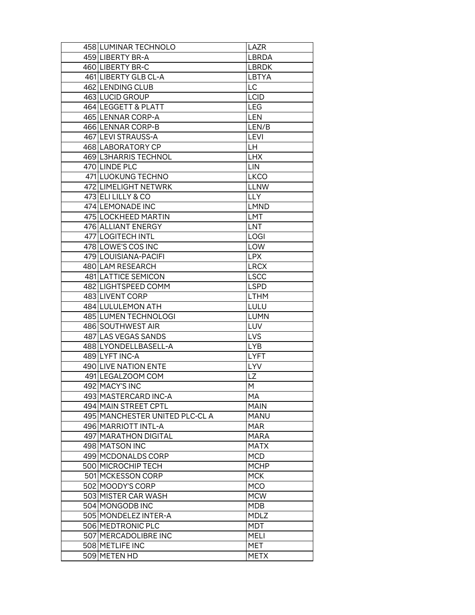| 458 LUMINAR TECHNOLO           | LAZR         |
|--------------------------------|--------------|
| 459 LIBERTY BR-A               | <b>LBRDA</b> |
| 460 LIBERTY BR-C               | <b>LBRDK</b> |
| 461 LIBERTY GLB CL-A           | LBTYA        |
| 462 LENDING CLUB               | LC.          |
| 463 LUCID GROUP                | <b>LCID</b>  |
| 464 LEGGETT & PLATT            | <b>LEG</b>   |
| 465 LENNAR CORP-A              | <b>LEN</b>   |
| 466 LENNAR CORP-B              | LEN/B        |
| 467 LEVI STRAUSS-A             | <b>LEVI</b>  |
| 468 LABORATORY CP              | LН           |
| 469 L3HARRIS TECHNOL           | <b>LHX</b>   |
| 470 LINDE PLC                  | LIN          |
| 471 LUOKUNG TECHNO             | <b>LKCO</b>  |
| 472 LIMELIGHT NETWRK           | <b>LLNW</b>  |
| 473 ELI LILLY & CO             | <b>LLY</b>   |
| 474 LEMONADE INC               | <b>LMND</b>  |
| 475 LOCKHEED MARTIN            | LMT          |
| 476 ALLIANT ENERGY             | <b>LNT</b>   |
| 477 LOGITECH INTL              | <b>LOGI</b>  |
| 478 LOWE'S COS INC             | LOW          |
| 479 LOUISIANA-PACIFI           | <b>LPX</b>   |
| 480 LAM RESEARCH               | <b>LRCX</b>  |
| 481 LATTICE SEMICON            | <b>LSCC</b>  |
| 482 LIGHTSPEED COMM            | LSPD         |
| 483 LIVENT CORP                | <b>LTHM</b>  |
| 484 LULULEMON ATH              | LULU         |
| 485 LUMEN TECHNOLOGI           | <b>LUMN</b>  |
| 486 SOUTHWEST AIR              | LUV          |
| 487 LAS VEGAS SANDS            | LVS          |
| 488 LYONDELL BASELL-A          | <b>LYB</b>   |
| 489 LYFT INC-A                 | <b>LYFT</b>  |
| 490 LIVE NATION ENTE           | <b>LYV</b>   |
| 491 LEGALZOOM COM              | <b>LZ</b>    |
| 492 MACY'S INC                 | M            |
| 493 MASTERCARD INC-A           | МA           |
| 494 MAIN STREET CPTL           | <b>MAIN</b>  |
| 495 MANCHESTER UNITED PLC-CL A | MANU         |
| 496 MARRIOTT INTL-A            | <b>MAR</b>   |
| 497 MARATHON DIGITAL           | <b>MARA</b>  |
| 498 MATSON INC                 | <b>MATX</b>  |
| 499 MCDONALDS CORP             | MCD          |
| 500 MICROCHIP TECH             | MCHP         |
| 501 MCKESSON CORP              | <b>MCK</b>   |
| 502 MOODY'S CORP               | <b>MCO</b>   |
| 503 MISTER CAR WASH            | <b>MCW</b>   |
| 504 MONGODB INC                | MDB          |
| 505 MONDELEZ INTER-A           | <b>MDLZ</b>  |
| 506 MEDTRONIC PLC              | MDT          |
| 507 MERCADOLIBRE INC           | <b>MELI</b>  |
| 508 METLIFE INC                | MET          |
| 509 METEN HD                   | <b>METX</b>  |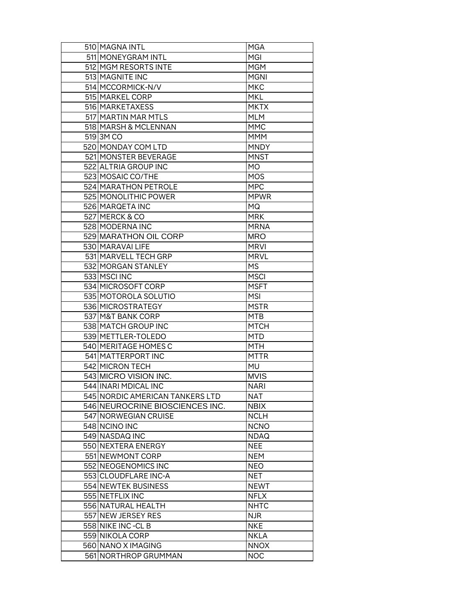| 510 MAGNA INTL                  | <b>MGA</b>  |
|---------------------------------|-------------|
| 511 MONEYGRAM INTL              | MGI         |
| 512 MGM RESORTS INTE            | <b>MGM</b>  |
| 513 MAGNITE INC                 | <b>MGNI</b> |
| 514 MCCORMICK-N/V               | <b>MKC</b>  |
| 515 MARKEL CORP                 | <b>MKL</b>  |
| 516 MARKETAXESS                 | <b>MKTX</b> |
| 517 MARTIN MAR MTLS             | <b>MLM</b>  |
| 518 MARSH & MCLENNAN            | <b>MMC</b>  |
| 519 3M CO                       | MMM         |
| 520 MONDAY COM LTD              | <b>MNDY</b> |
| 521 MONSTER BEVERAGE            | <b>MNST</b> |
| 522 ALTRIA GROUP INC            | MO          |
| 523 MOSAIC CO/THE               | <b>MOS</b>  |
| 524 MARATHON PETROLE            | <b>MPC</b>  |
| 525 MONOLITHIC POWER            | <b>MPWR</b> |
| 526 MARQETA INC                 | MQ          |
| 527 MERCK & CO                  | <b>MRK</b>  |
| 528 MODERNA INC                 | <b>MRNA</b> |
| 529 MARATHON OIL CORP           | <b>MRO</b>  |
| 530 MARAVAI LIFE                | <b>MRVI</b> |
| 531 MARVELL TECH GRP            | <b>MRVL</b> |
| 532 MORGAN STANLEY              | <b>MS</b>   |
| 533 MSCI INC                    | <b>MSCI</b> |
| 534 MICROSOFT CORP              | <b>MSFT</b> |
| 535 MOTOROLA SOLUTIO            | <b>MSI</b>  |
| 536 MICROSTRATEGY               | <b>MSTR</b> |
| 537 M&T BANK CORP               | <b>MTB</b>  |
| 538 MATCH GROUP INC             | <b>MTCH</b> |
| 539 METTLER-TOLEDO              | <b>MTD</b>  |
| 540 MERITAGE HOMES C            | MTH         |
| 541 MATTERPORT INC              | <b>MTTR</b> |
| 542 MICRON TECH                 | <b>MU</b>   |
| 543 MICRO VISION INC.           | <b>MVIS</b> |
| 544 INARI MDICAL INC            | <b>NARI</b> |
| 545 NORDIC AMERICAN TANKERS LTD | NAT         |
| 546 NEUROCRINE BIOSCIENCES INC. | <b>NBIX</b> |
| 547 NORWEGIAN CRUISE            | <b>NCLH</b> |
| 548 NCINO INC                   | <b>NCNO</b> |
| 549 NASDAQ INC                  | <b>NDAQ</b> |
| 550 NEXTERA ENERGY              | <b>NEE</b>  |
| 551 NEWMONT CORP                | <b>NEM</b>  |
| 552 NEOGENOMICS INC             | <b>NEO</b>  |
| 553 CLOUDFLARE INC-A            | NET         |
| 554 NEWTEK BUSINESS             | <b>NEWT</b> |
| 555 NETFLIX INC                 | <b>NFLX</b> |
| 556 NATURAL HEALTH              | <b>NHTC</b> |
| 557 NEW JERSEY RES              | <b>NJR</b>  |
| 558 NIKE INC-CL B               | <b>NKE</b>  |
| 559 NIKOLA CORP                 | <b>NKLA</b> |
| 560 NANO X IMAGING              | <b>NNOX</b> |
| 561 NORTHROP GRUMMAN            | <b>NOC</b>  |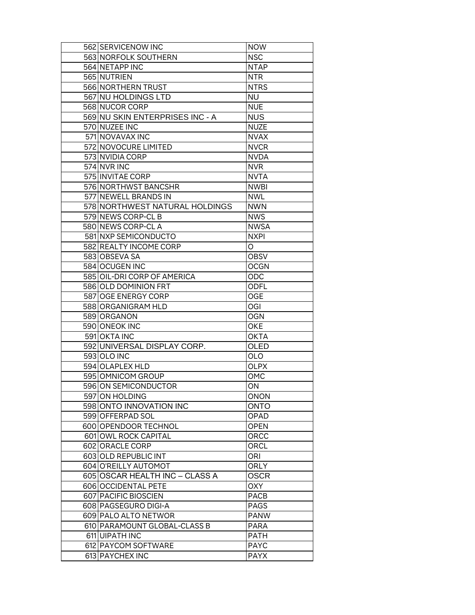| 562 SERVICENOW INC              | <b>NOW</b>  |
|---------------------------------|-------------|
| 563 NORFOLK SOUTHERN            | <b>NSC</b>  |
| 564 NETAPP INC                  | <b>NTAP</b> |
| 565 NUTRIEN                     | <b>NTR</b>  |
| 566 NORTHERN TRUST              | <b>NTRS</b> |
| 567 NU HOLDINGS LTD             | <b>NU</b>   |
| 568 NUCOR CORP                  | <b>NUE</b>  |
| 569 NU SKIN ENTERPRISES INC - A | <b>NUS</b>  |
| 570 NUZEE INC                   | <b>NUZE</b> |
| 571 NOVAVAX INC                 | <b>NVAX</b> |
| 572 NOVOCURE LIMITED            | <b>NVCR</b> |
| 573 NVIDIA CORP                 | <b>NVDA</b> |
| 574 NVR INC                     | <b>NVR</b>  |
| 575 INVITAE CORP                | <b>NVTA</b> |
| 576 NORTHWST BANCSHR            | <b>NWBI</b> |
| 577 NEWELL BRANDS IN            | <b>NWL</b>  |
| 578 NORTHWEST NATURAL HOLDINGS  | NWN         |
| 579 NEWS CORP-CL B              | <b>NWS</b>  |
| 580 NEWS CORP-CL A              | <b>NWSA</b> |
| 581 NXP SEMICONDUCTO            | <b>NXPI</b> |
| 582 REALTY INCOME CORP          | O           |
|                                 |             |
| 583 OBSEVA SA                   | OBSV        |
| 584 OCUGEN INC                  | <b>OCGN</b> |
| 585 OIL-DRI CORP OF AMERICA     | ODC         |
| 586 OLD DOMINION FRT            | ODFL        |
| 587 OGE ENERGY CORP             | OGE         |
| 588 ORGANIGRAM HLD              | OGI         |
| 589 ORGANON                     | OGN         |
| 590 ONEOK INC                   | OKE         |
| 591 OKTA INC                    | <b>OKTA</b> |
| 592 UNIVERSAL DISPLAY CORP.     | OLED        |
| 593 OLO INC                     | OLO         |
| 594 OLAPLEX HLD                 | <b>OLPX</b> |
| 595 OMNICOM GROUP               | OMC         |
| 596 ON SEMICONDUCTOR            | ON          |
| 597 ON HOLDING                  | ONON        |
| 598 ONTO INNOVATION INC         | <b>ONTO</b> |
| 599 OFFERPAD SOL                | OPAD        |
| 600 OPENDOOR TECHNOL            | <b>OPEN</b> |
| 601 OWL ROCK CAPITAL            | ORCC        |
| 602 ORACLE CORP                 | ORCL        |
| 603 OLD REPUBLIC INT            | ORI         |
| 604 O'REILLY AUTOMOT            | <b>ORLY</b> |
| 605 OSCAR HEALTH INC - CLASS A  | <b>OSCR</b> |
| 606 OCCIDENTAL PETE             | OXY         |
| 607 PACIFIC BIOSCIEN            | PACB        |
| 608 PAGSEGURO DIGI-A            | PAGS        |
| 609 PALO ALTO NETWOR            | <b>PANW</b> |
| 610 PARAMOUNT GLOBAL-CLASS B    | <b>PARA</b> |
| 611 UIPATH INC                  | <b>PATH</b> |
| 612 PAYCOM SOFTWARE             | <b>PAYC</b> |
| 613 PAYCHEX INC                 | <b>PAYX</b> |
|                                 |             |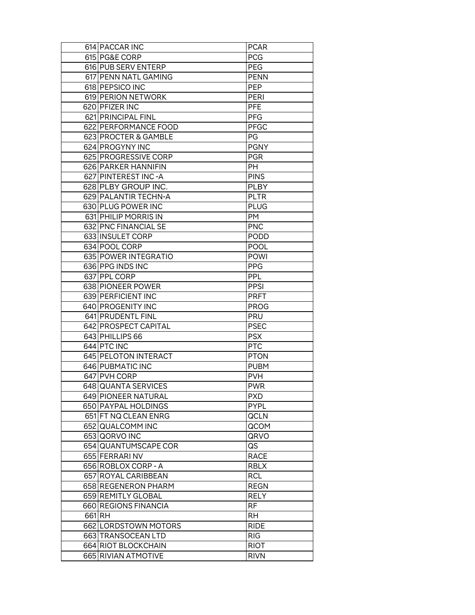| 614 PACCAR INC       | <b>PCAR</b> |
|----------------------|-------------|
| 615 PG&E CORP        | <b>PCG</b>  |
| 616 PUB SERV ENTERP  | <b>PEG</b>  |
| 617 PENN NATL GAMING | <b>PENN</b> |
| 618 PEPSICO INC      | <b>PEP</b>  |
| 619 PERION NETWORK   | <b>PERI</b> |
| 620 PFIZER INC       | <b>PFE</b>  |
| 621 PRINCIPAL FINL   | <b>PFG</b>  |
| 622 PERFORMANCE FOOD | <b>PFGC</b> |
| 623 PROCTER & GAMBLE | PG          |
| 624 PROGYNY INC      | <b>PGNY</b> |
| 625 PROGRESSIVE CORP | <b>PGR</b>  |
| 626 PARKER HANNIFIN  | PH          |
| 627 PINTEREST INC-A  | <b>PINS</b> |
| 628 PLBY GROUP INC.  | <b>PLBY</b> |
| 629 PALANTIR TECHN-A | <b>PLTR</b> |
| 630 PLUG POWER INC   | PLUG        |
| 631 PHILIP MORRIS IN | <b>PM</b>   |
| 632 PNC FINANCIAL SE | <b>PNC</b>  |
| 633 INSULET CORP     | <b>PODD</b> |
| 634 POOL CORP        | <b>POOL</b> |
|                      |             |
| 635 POWER INTEGRATIO | <b>POWI</b> |
| 636 PPG INDS INC     | <b>PPG</b>  |
| 637 PPL CORP         | PPL         |
| 638 PIONEER POWER    | <b>PPSI</b> |
| 639 PERFICIENT INC   | <b>PRFT</b> |
| 640 PROGENITY INC    | <b>PROG</b> |
| 641 PRUDENTL FINL    | <b>PRU</b>  |
| 642 PROSPECT CAPITAL | <b>PSEC</b> |
| 643 PHILLIPS 66      | <b>PSX</b>  |
| 644 PTC INC          | <b>PTC</b>  |
| 645 PELOTON INTERACT | <b>PTON</b> |
| 646 PUBMATIC INC     | <b>PUBM</b> |
| 647 PVH CORP         | <b>PVH</b>  |
| 648 QUANTA SERVICES  | <b>PWR</b>  |
| 649 PIONEER NATURAL  | <b>PXD</b>  |
| 650 PAYPAL HOLDINGS  | <b>PYPL</b> |
| 651 FT NQ CLEAN ENRG | <b>QCLN</b> |
| 652 QUALCOMM INC     | QCOM        |
| 653 QORVO INC        | QRVO        |
| 654 QUANTUMSCAPE COR | QS          |
| 655 FERRARINV        | <b>RACE</b> |
| 656 ROBLOX CORP - A  | <b>RBLX</b> |
| 657 ROYAL CARIBBEAN  | RCL         |
| 658 REGENERON PHARM  | <b>REGN</b> |
| 659 REMITLY GLOBAL   | <b>RELY</b> |
| 660 REGIONS FINANCIA | <b>RF</b>   |
| 661 RH               | <b>RH</b>   |
| 662 LORDSTOWN MOTORS | <b>RIDE</b> |
| 663 TRANSOCEAN LTD   | <b>RIG</b>  |
| 664 RIOT BLOCKCHAIN  | <b>RIOT</b> |
| 665 RIVIAN ATMOTIVE  | <b>RIVN</b> |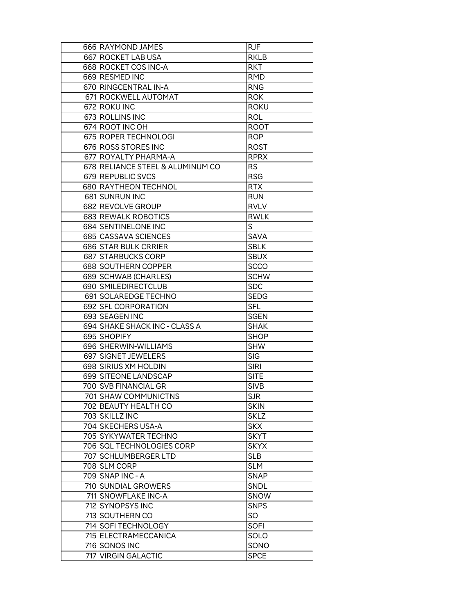| 666 RAYMOND JAMES                | <b>RJF</b>  |
|----------------------------------|-------------|
| 667 ROCKET LAB USA               | <b>RKLB</b> |
| 668 ROCKET COS INC-A             | <b>RKT</b>  |
| 669 RESMED INC                   | <b>RMD</b>  |
| 670 RINGCENTRAL IN-A             | <b>RNG</b>  |
| 671 ROCKWELL AUTOMAT             | <b>ROK</b>  |
| 672 ROKU INC                     | <b>ROKU</b> |
| 673 ROLLINS INC                  | ROL         |
| 674 ROOT INC OH                  | <b>ROOT</b> |
| 675 ROPER TECHNOLOGI             | ROP         |
| 676 ROSS STORES INC              | <b>ROST</b> |
| 677 ROYALTY PHARMA-A             | <b>RPRX</b> |
| 678 RELIANCE STEEL & ALUMINUM CO | <b>RS</b>   |
| 679 REPUBLIC SVCS                | <b>RSG</b>  |
| 680 RAYTHEON TECHNOL             | <b>RTX</b>  |
| 681 SUNRUN INC                   | <b>RUN</b>  |
| 682 REVOLVE GROUP                | <b>RVLV</b> |
| 683 REWALK ROBOTICS              | <b>RWLK</b> |
| 684 SENTINELONE INC              | S           |
| 685 CASSAVA SCIENCES             | SAVA        |
| 686 STAR BULK CRRIER             | <b>SBLK</b> |
| 687 STARBUCKS CORP               | <b>SBUX</b> |
| 688 SOUTHERN COPPER              | <b>SCCO</b> |
| 689 SCHWAB (CHARLES)             | <b>SCHW</b> |
| 690 SMILEDIRECTCLUB              | <b>SDC</b>  |
| 691 SOLAREDGE TECHNO             | SEDG        |
| 692 SFL CORPORATION              | SFL         |
| 693 SEAGEN INC                   | <b>SGEN</b> |
| 694 SHAKE SHACK INC - CLASS A    | <b>SHAK</b> |
| 695 SHOPIFY                      | <b>SHOP</b> |
| 696 SHERWIN-WILLIAMS             | <b>SHW</b>  |
| 697 SIGNET JEWELERS              | <b>SIG</b>  |
| 698 SIRIUS XM HOLDIN             | <b>SIRI</b> |
| 699 SITEONE LANDSCAP             | <b>SITE</b> |
| 700 SVB FINANCIAL GR             | <b>SIVB</b> |
| 701 SHAW COMMUNICTNS             | <b>SJR</b>  |
| 702 BEAUTY HEALTH CO             | <b>SKIN</b> |
| 703 SKILLZ INC                   | <b>SKLZ</b> |
| 704 SKECHERS USA-A               | <b>SKX</b>  |
| 705 SYKYWATER TECHNO             | <b>SKYT</b> |
| 706 SQL TECHNOLOGIES CORP        | <b>SKYX</b> |
| 707 SCHLUMBERGER LTD             | <b>SLB</b>  |
| 708 SLM CORP                     | <b>SLM</b>  |
| 709 SNAP INC - A                 | <b>SNAP</b> |
| 710 SUNDIAL GROWERS              | SNDL        |
| 711 SNOWFLAKE INC-A              | SNOW        |
| 712 SYNOPSYS INC                 | <b>SNPS</b> |
| 713 SOUTHERN CO                  | SO          |
| 714 SOFI TECHNOLOGY              | <b>SOFI</b> |
| 715 ELECTRAMECCANICA             | SOLO        |
| 716 SONOS INC                    | SONO        |
| 717 VIRGIN GALACTIC              | <b>SPCE</b> |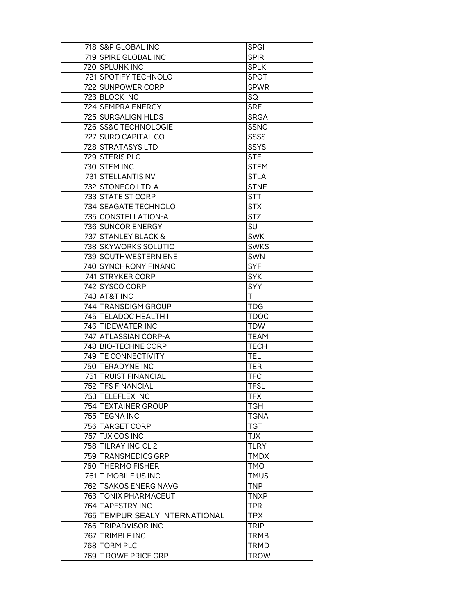|     | 718 S&P GLOBAL INC             | <b>SPGI</b> |
|-----|--------------------------------|-------------|
|     | 719 SPIRE GLOBAL INC           | <b>SPIR</b> |
|     | 720 SPLUNK INC                 | <b>SPLK</b> |
|     | 721 SPOTIFY TECHNOLO           | <b>SPOT</b> |
|     | 722 SUNPOWER CORP              | <b>SPWR</b> |
|     | 723 BLOCK INC                  | SQ          |
|     | 724 SEMPRA ENERGY              | <b>SRE</b>  |
|     | 725 SURGALIGN HLDS             | <b>SRGA</b> |
|     | 726 SS&C TECHNOLOGIE           | <b>SSNC</b> |
|     | 727 SURO CAPITAL CO            | SSSS        |
|     | 728 STRATASYS LTD              | <b>SSYS</b> |
|     | 729 STERIS PLC                 | <b>STE</b>  |
|     | 730 STEM INC                   | <b>STEM</b> |
|     | 731 STELLANTIS NV              | <b>STLA</b> |
|     | 732 STONECO LTD-A              | <b>STNE</b> |
|     | 733 STATE ST CORP              | <b>STT</b>  |
|     | 734 SEAGATE TECHNOLO           | <b>STX</b>  |
|     | 735 CONSTELLATION-A            | <b>STZ</b>  |
|     | 736 SUNCOR ENERGY              | SU          |
|     | 737 STANLEY BLACK &            | <b>SWK</b>  |
|     | 738 SKYWORKS SOLUTIO           | <b>SWKS</b> |
|     | 739 SOUTHWESTERN ENE           | SWN         |
|     | 740 SYNCHRONY FINANC           | <b>SYF</b>  |
|     | 741 STRYKER CORP               | <b>SYK</b>  |
|     | 742 SYSCO CORP                 | SYY         |
|     | 743 AT&T INC                   | T           |
|     | 744 TRANSDIGM GROUP            | <b>TDG</b>  |
|     | 745 TELADOC HEALTH I           | <b>TDOC</b> |
|     | 746 TIDEWATER INC              | <b>TDW</b>  |
|     | 747 ATLASSIAN CORP-A           | <b>TEAM</b> |
|     | 748 BIO-TECHNE CORP            | <b>TECH</b> |
|     | 749 TE CONNECTIVITY            | TEL         |
|     | 750 TERADYNE INC               | <b>TER</b>  |
|     | 751 TRUIST FINANCIAL           | <b>TFC</b>  |
|     | <b>752 TFS FINANCIAL</b>       | <b>TFSL</b> |
|     | 753 TELEFLEX INC               | <b>TFX</b>  |
|     | 754 TEXTAINER GROUP            | <b>TGH</b>  |
|     | 755 TEGNA INC                  | <b>TGNA</b> |
|     | 756 TARGET CORP                | <b>TGT</b>  |
|     | 757 TJX COS INC                | <b>TJX</b>  |
|     | 758 TILRAY INC-CL 2            | <b>TLRY</b> |
|     | 759 TRANSMEDICS GRP            | <b>TMDX</b> |
|     | 760 THERMO FISHER              | TMO         |
|     | 761 T-MOBILE US INC            | <b>TMUS</b> |
|     | 762 TSAKOS ENERG NAVG          | <b>TNP</b>  |
|     | 763 TONIX PHARMACEUT           | <b>TNXP</b> |
|     | 764 TAPESTRY INC               | <b>TPR</b>  |
|     | 765 TEMPUR SEALY INTERNATIONAL | TPX         |
|     | 766 TRIPADVISOR INC            | <b>TRIP</b> |
|     | 767 TRIMBLE INC                | <b>TRMB</b> |
|     | 768 TORM PLC                   | <b>TRMD</b> |
|     |                                |             |
| 769 | <b>T ROWE PRICE GRP</b>        | <b>TROW</b> |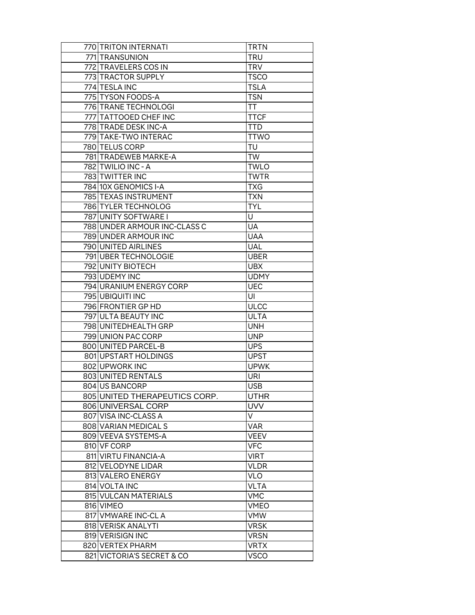| 770 TRITON INTERNATI          | <b>TRTN</b> |
|-------------------------------|-------------|
| 771 TRANSUNION                | TRU         |
| 772 TRAVELERS COS IN          | <b>TRV</b>  |
| 773 TRACTOR SUPPLY            | <b>TSCO</b> |
| 774 TESLA INC                 | <b>TSLA</b> |
| 775 TYSON FOODS-A             | <b>TSN</b>  |
| 776 TRANE TECHNOLOGI          | <b>TT</b>   |
| 777 TATTOOED CHEF INC         | <b>TTCF</b> |
| 778 TRADE DESK INC-A          | <b>TTD</b>  |
| 779 TAKE-TWO INTERAC          | <b>TTWO</b> |
| 780 TELUS CORP                | TU          |
| 781 TRADEWEB MARKE-A          | <b>TW</b>   |
| 782 TWILIO INC - A            | <b>TWLO</b> |
| 783 TWITTER INC               | <b>TWTR</b> |
| 784 10X GENOMICS I-A          | <b>TXG</b>  |
| 785 TEXAS INSTRUMENT          | <b>TXN</b>  |
| 786 TYLER TECHNOLOG           | <b>TYL</b>  |
| 787 UNITY SOFTWARE I          | U           |
| 788 UNDER ARMOUR INC-CLASS C  | <b>UA</b>   |
| 789 UNDER ARMOUR INC          | <b>UAA</b>  |
| 790 UNITED AIRLINES           | <b>UAL</b>  |
| 791 UBER TECHNOLOGIE          | UBER        |
| 792 UNITY BIOTECH             | <b>UBX</b>  |
| 793 UDEMY INC                 | <b>UDMY</b> |
| 794 URANIUM ENERGY CORP       | <b>UEC</b>  |
| 795 UBIQUITI INC              | UI          |
| 796 FRONTIER GP HD            | <b>ULCC</b> |
| 797 ULTA BEAUTY INC           | <b>ULTA</b> |
| 798 UNITEDHEALTH GRP          | UNH         |
| 799 UNION PAC CORP            | <b>UNP</b>  |
| 800 UNITED PARCEL-B           | <b>UPS</b>  |
| 801 UPSTART HOLDINGS          | <b>UPST</b> |
| 802 UPWORK INC                | <b>UPWK</b> |
| 803 UNITED RENTALS            | <b>URI</b>  |
| 804 US BANCORP                | <b>USB</b>  |
| 805 UNITED THERAPEUTICS CORP. | <b>UTHR</b> |
| 806 UNIVERSAL CORP            | <b>UVV</b>  |
| 807 VISA INC-CLASS A          | V           |
| 808 VARIAN MEDICAL S          | <b>VAR</b>  |
| 809 VEEVA SYSTEMS-A           | <b>VEEV</b> |
| 810 VF CORP                   | <b>VFC</b>  |
| 811 VIRTU FINANCIA-A          | <b>VIRT</b> |
| 812 VELODYNE LIDAR            | VLDR        |
| 813 VALERO ENERGY             | <b>VLO</b>  |
| 814 VOLTA INC                 | VLTA        |
| 815 VULCAN MATERIALS          | VMC         |
| 816 VIMEO                     | VMEO        |
| 817 VMWARE INC-CL A           | VMW         |
| 818 VERISK ANALYTI            | <b>VRSK</b> |
| 819 VERISIGN INC              | <b>VRSN</b> |
| 820 VERTEX PHARM              | <b>VRTX</b> |
| 821 VICTORIA'S SECRET & CO    | <b>VSCO</b> |